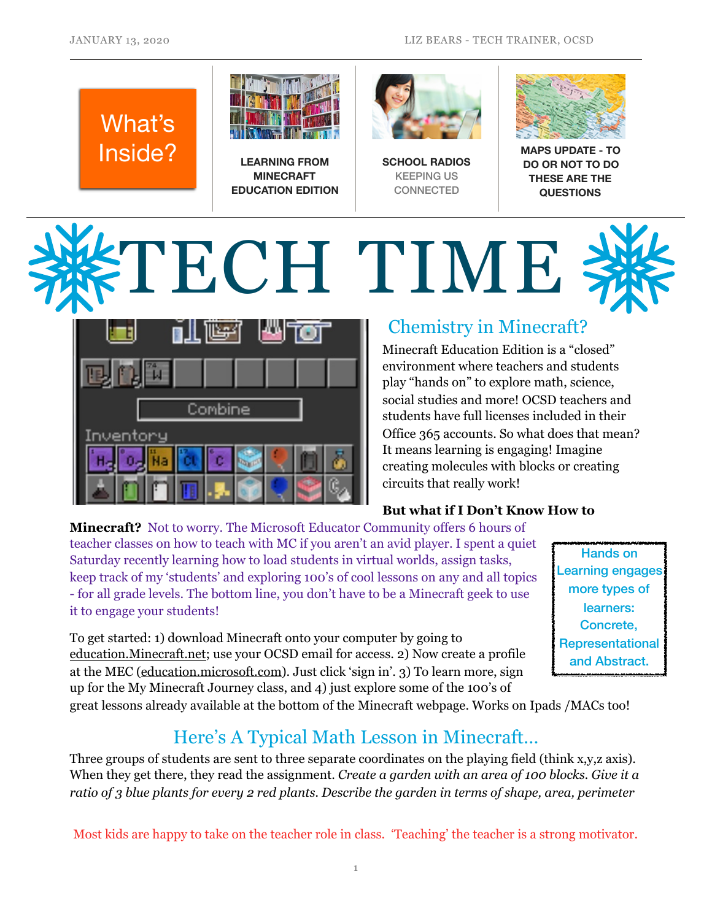## What's Inside? **LEARNING FROM**



**MINECRAFT EDUCATION EDITION**



**SCHOOL RADIOS**  KEEPING US **CONNECTED** 



**MAPS UPDATE - TO DO OR NOT TO DO THESE ARE THE QUESTIONS**

# TECH TIME



### Chemistry in Minecraft?

Minecraft Education Edition is a "closed" environment where teachers and students play "hands on" to explore math, science, social studies and more! OCSD teachers and students have full licenses included in their Office 365 accounts. So what does that mean? It means learning is engaging! Imagine creating molecules with blocks or creating circuits that really work!

#### **But what if I Don't Know How to**

**Minecraft?** Not to worry. The Microsoft Educator Community offers 6 hours of teacher classes on how to teach with MC if you aren't an avid player. I spent a quiet Saturday recently learning how to load students in virtual worlds, assign tasks, keep track of my 'students' and exploring 100's of cool lessons on any and all topics - for all grade levels. The bottom line, you don't have to be a Minecraft geek to use it to engage your students!

To get started: 1) download Minecraft onto your computer by going to [education.Minecraft.net](http://education.Minecraft.net); use your OCSD email for access. 2) Now create a profile at the MEC [\(education.microsoft.com](http://education.microsoft.com)). Just click 'sign in'. 3) To learn more, sign up for the My Minecraft Journey class, and 4) just explore some of the 100's of

Hands on Learning engages more types of learners: Concrete, Representational and Abstract.

great lessons already available at the bottom of the Minecraft webpage. Works on Ipads /MACs too!

#### Here's A Typical Math Lesson in Minecraft…

Three groups of students are sent to three separate coordinates on the playing field (think x,y,z axis). When they get there, they read the assignment. *Create a garden with an area of 100 blocks. Give it a ratio of 3 blue plants for every 2 red plants. Describe the garden in terms of shape, area, perimeter* 

Most kids are happy to take on the teacher role in class. 'Teaching' the teacher is a strong motivator.